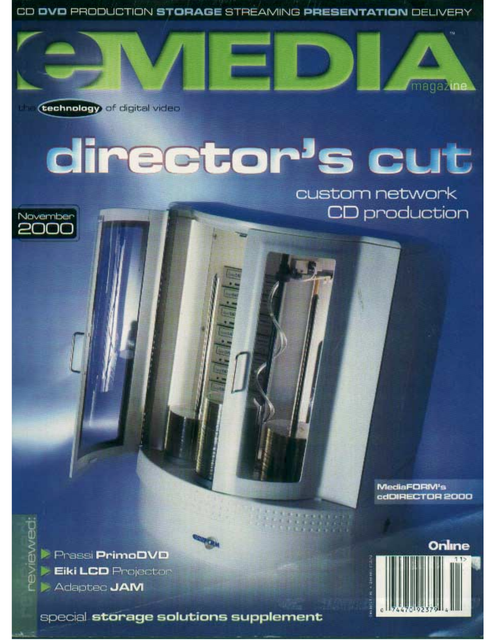CD OVO PRODUCTION STORAGE STREAMING PRESENTATION DELIVERY



**technology** of digital video

November<br>2000

# director's cut

custom network CD production

> MediaFORM's dODRECTOR 2000

**Prassi PrimoDVD Eiki LCD** Projector Adapted JAM

special storage solutions supplement

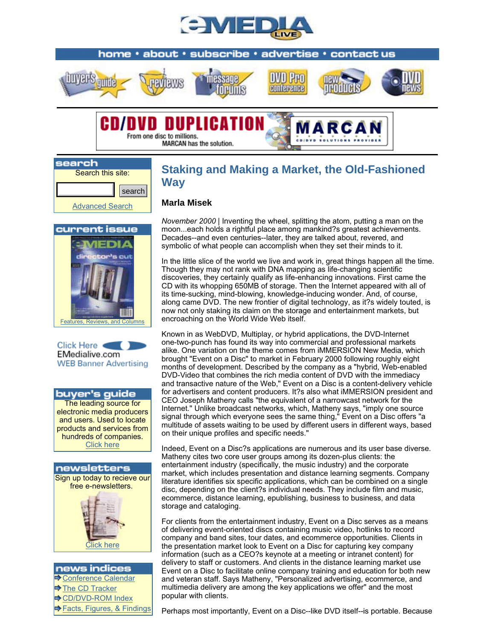



search Search this site: searchAdvanced Search

## **Staking and Making a Market, the Old-Fashioned Way**

#### **Marla Misek**

MARCAN has the solution.

current issue Features, Reviews, and Columns



buyer's guide The leading source for electronic media producers and users. Used to locate products and services from hundreds of companies. Click here



### news indices  $\rightarrow$  Conference Calendar The CD Tracker

**CD/DVD-ROM Index** 

 $\rightarrow$  Facts, Figures, & Findings

*November 2000* | Inventing the wheel, splitting the atom, putting a man on the moon...each holds a rightful place among mankind?s greatest achievements. Decades--and even centuries--later, they are talked about, revered, and symbolic of what people can accomplish when they set their minds to it.

In the little slice of the world we live and work in, great things happen all the time. Though they may not rank with DNA mapping as life-changing scientific discoveries, they certainly qualify as life-enhancing innovations. First came the CD with its whopping 650MB of storage. Then the Internet appeared with all of its time-sucking, mind-blowing, knowledge-inducing wonder. And, of course, along came DVD. The new frontier of digital technology, as it?s widely touted, is now not only staking its claim on the storage and entertainment markets, but encroaching on the World Wide Web itself.

Known in as WebDVD, Multiplay, or hybrid applications, the DVD-Internet one-two-punch has found its way into commercial and professional markets alike. One variation on the theme comes from iMMERSION New Media, which brought "Event on a Disc" to market in February 2000 following roughly eight months of development. Described by the company as a "hybrid, Web-enabled DVD-Video that combines the rich media content of DVD with the immediacy and transactive nature of the Web," Event on a Disc is a content-delivery vehicle for advertisers and content producers. It?s also what iMMERSION president and CEO Joseph Matheny calls "the equivalent of a narrowcast network for the Internet." Unlike broadcast networks, which, Matheny says, "imply one source signal through which everyone sees the same thing," Event on a Disc offers "a multitude of assets waiting to be used by different users in different ways, based on their unique profiles and specific needs."

Indeed, Event on a Disc?s applications are numerous and its user base diverse. Matheny cites two core user groups among its dozen-plus clients: the entertainment industry (specifically, the music industry) and the corporate market, which includes presentation and distance learning segments. Company literature identifies six specific applications, which can be combined on a single disc, depending on the client?s individual needs. They include film and music, ecommerce, distance learning, epublishing, business to business, and data storage and cataloging.

For clients from the entertainment industry, Event on a Disc serves as a means of delivering event-oriented discs containing music video, hotlinks to record company and band sites, tour dates, and ecommerce opportunities. Clients in the presentation market look to Event on a Disc for capturing key company information (such as a CEO?s keynote at a meeting or intranet content) for delivery to staff or customers. And clients in the distance learning market use Event on a Disc to facilitate online company training and education for both new and veteran staff. Says Matheny, "Personalized advertising, ecommerce, and multimedia delivery are among the key applications we offer" and the most popular with clients.

Perhaps most importantly, Event on a Disc--like DVD itself--is portable. Because